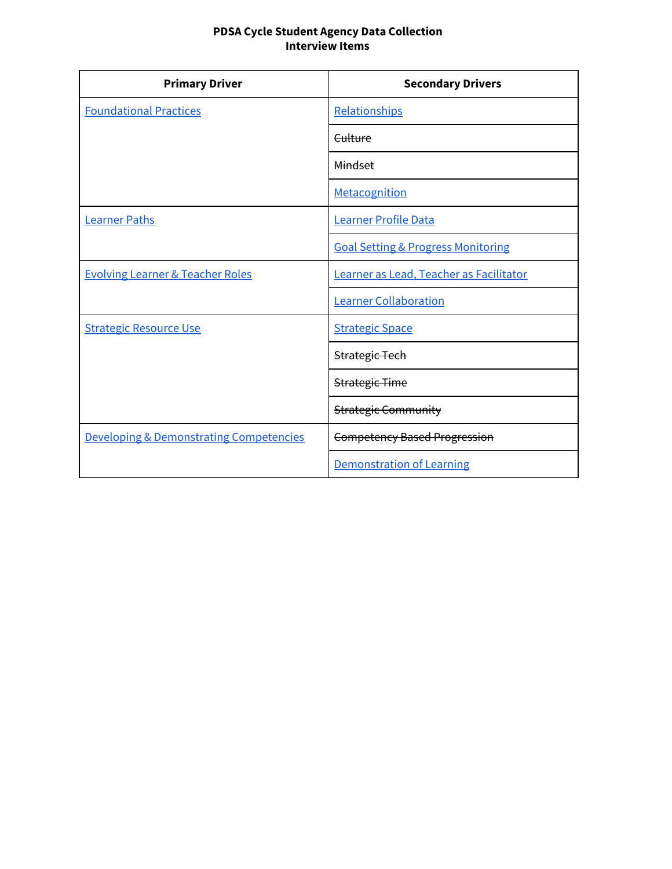### **PDSA Cycle Student Agency Data Collection Interview Items**

| <b>Primary Driver</b>                              | <b>Secondary Drivers</b>                      |
|----------------------------------------------------|-----------------------------------------------|
| <b>Foundational Practices</b>                      | Relationships                                 |
|                                                    | Culture                                       |
|                                                    | <b>Mindset</b>                                |
|                                                    | Metacognition                                 |
| <b>Learner Paths</b>                               | <b>Learner Profile Data</b>                   |
|                                                    | <b>Goal Setting &amp; Progress Monitoring</b> |
| <b>Evolving Learner &amp; Teacher Roles</b>        | Learner as Lead, Teacher as Facilitator       |
|                                                    | <b>Learner Collaboration</b>                  |
| <b>Strategic Resource Use</b>                      | <b>Strategic Space</b>                        |
|                                                    | <b>Strategic Tech</b>                         |
|                                                    | <b>Strategic Time</b>                         |
|                                                    | <b>Strategic Community</b>                    |
| <b>Developing &amp; Demonstrating Competencies</b> | <b>Competency Based Progression</b>           |
|                                                    | <b>Demonstration of Learning</b>              |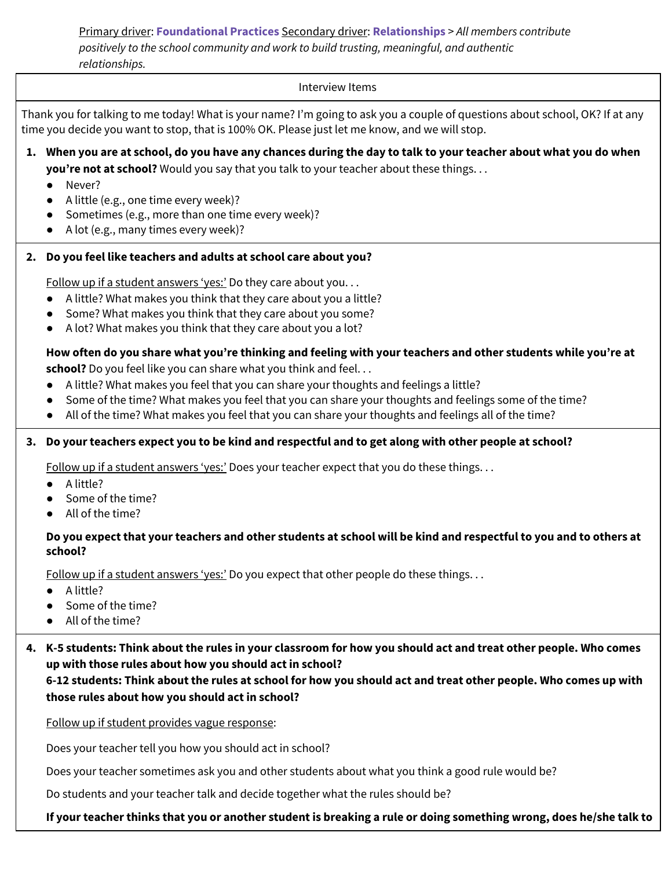<span id="page-1-0"></span>Primary driver: **Foundational Practices** Secondary driver: **Relationships** > *All members contribute positively to the school community and work to build trusting, meaningful, and authentic relationships.*

#### Interview Items

Thank you for talking to me today! What is your name? I'm going to ask you a couple of questions about school, OK? If at any time you decide you want to stop, that is 100% OK. Please just let me know, and we will stop.

- 1. When you are at school, do you have any chances during the day to talk to your teacher about what you do when **you're not at school?** Would you say that you talk to your teacher about these things. . .
	- Never?
	- A little (e.g., one time every week)?
	- Sometimes (e.g., more than one time every week)?
	- A lot (e.g., many times every week)?

## **2. Do you feel like teachers and adults at school care about you?**

Follow up if a student answers 'yes:' Do they care about you...

- A little? What makes you think that they care about you a little?
- Some? What makes you think that they care about you some?
- A lot? What makes you think that they care about you a lot?

# How often do you share what you're thinking and feeling with your teachers and other students while you're at

**school?** Do you feel like you can share what you think and feel...

- A little? What makes you feel that you can share your thoughts and feelings a little?
- Some of the time? What makes you feel that you can share your thoughts and feelings some of the time?
- All of the time? What makes you feel that you can share your thoughts and feelings all of the time?

## 3. Do your teachers expect you to be kind and respectful and to get along with other people at school?

Follow up if a student answers 'yes:' Does your teacher expect that you do these things...

- A little?
- Some of the time?
- All of the time?

## Do you expect that your teachers and other students at school will be kind and respectful to you and to others at **school?**

Follow up if a student answers 'yes:' Do you expect that other people do these things. . .

- A little?
- Some of the time?
- All of the time?

4. K-5 students: Think about the rules in your classroom for how you should act and treat other people. Who comes **up with those rules about how you should act in school?**

6-12 students: Think about the rules at school for how you should act and treat other people. Who comes up with **those rules about how you should act in school?**

Follow up if student provides vague response:

Does your teacher tell you how you should act in school?

Does your teacher sometimes ask you and other students about what you think a good rule would be?

Do students and your teacher talk and decide together what the rules should be?

If your teacher thinks that you or another student is breaking a rule or doing something wrong, does he/she talk to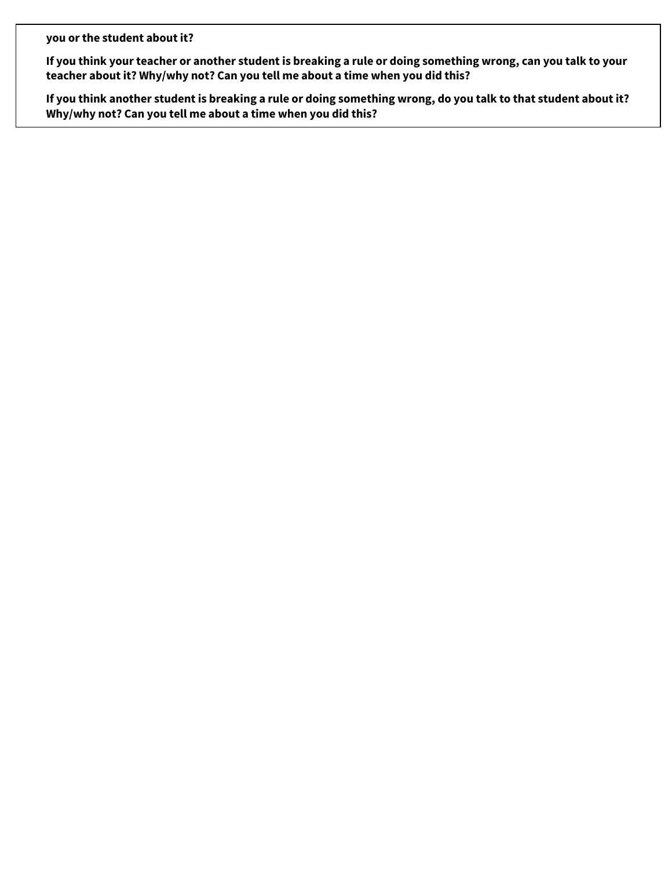**you or the student about it?**

If you think your teacher or another student is breaking a rule or doing something wrong, can you talk to your **teacher about it? Why/why not? Can you tell me about a time when you did this?**

If you think another student is breaking a rule or doing something wrong, do you talk to that student about it? **Why/why not? Can you tell me about a time when you did this?**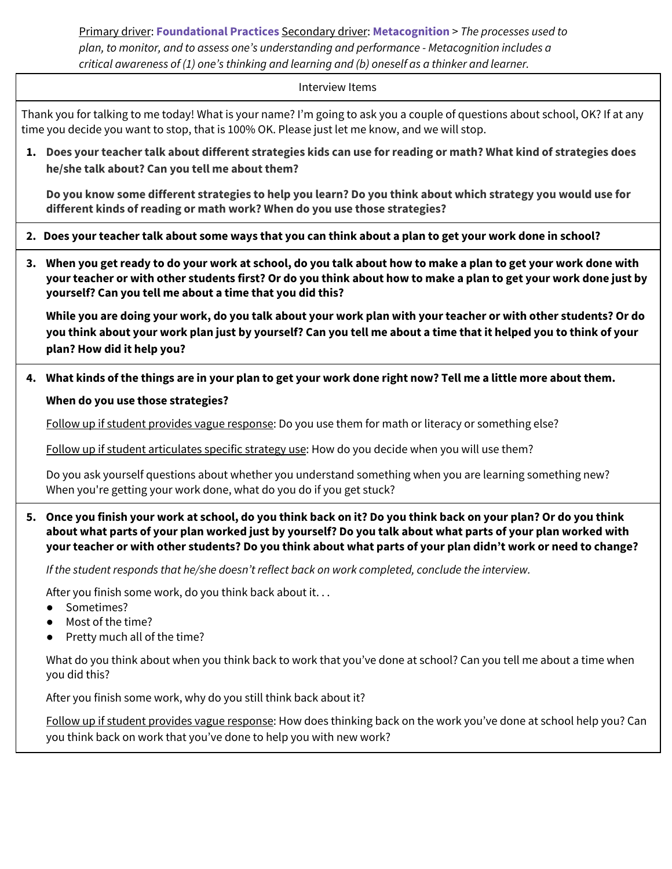<span id="page-3-0"></span>Primary driver: **Foundational Practices** Secondary driver: **Metacognition** > *The processes used to plan, to monitor, and to assess one's understanding and performance - Metacognition includes a critical awareness of (1) one's thinking and learning and (b) oneself as a thinker and learner.*

#### Interview Items

Thank you for talking to me today! What is your name? I'm going to ask you a couple of questions about school, OK? If at any time you decide you want to stop, that is 100% OK. Please just let me know, and we will stop.

1. Does your teacher talk about different strategies kids can use for reading or math? What kind of strategies does **he/she talk about? Can you tell me about them?**

Do you know some different strategies to help you learn? Do you think about which strategy you would use for **different kinds of reading or math work? When do you use those strategies?**

2. Does your teacher talk about some ways that you can think about a plan to get your work done in school?

3. When you get ready to do your work at school, do you talk about how to make a plan to get your work done with your teacher or with other students first? Or do you think about how to make a plan to get your work done just by **yourself? Can you tell me about a time that you did this?**

While you are doing your work, do you talk about your work plan with your teacher or with other students? Or do you think about your work plan just by yourself? Can you tell me about a time that it helped you to think of your **plan? How did it help you?**

4. What kinds of the things are in your plan to get your work done right now? Tell me a little more about them.

### **When do you use those strategies?**

Follow up if student provides vague response: Do you use them for math or literacy or something else?

Follow up if student articulates specific strategy use: How do you decide when you will use them?

Do you ask yourself questions about whether you understand something when you are learning something new? When you're getting your work done, what do you do if you get stuck?

5. Once you finish your work at school, do you think back on it? Do you think back on your plan? Or do you think about what parts of your plan worked just by yourself? Do you talk about what parts of your plan worked with your teacher or with other students? Do you think about what parts of your plan didn't work or need to change?

*If the student responds that he/she doesn't reflect back on work completed, conclude the interview.*

After you finish some work, do you think back about it. . .

- Sometimes?
- Most of the time?
- Pretty much all of the time?

What do you think about when you think back to work that you've done at school? Can you tell me about a time when you did this?

After you finish some work, why do you still think back about it?

Follow up if student provides vague response: How does thinking back on the work you've done at school help you? Can you think back on work that you've done to help you with new work?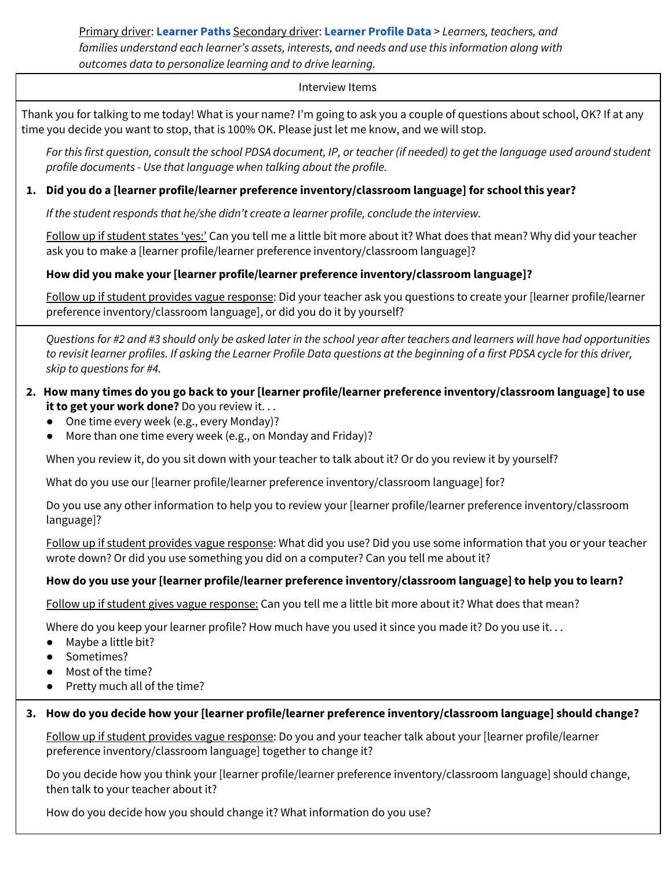## <span id="page-4-0"></span>Primary driver: **Learner Paths** Secondary driver: **Learner Profile Data** > *Learners, teachers, and families understand each learner's assets, interests, and needs and use this information along with outcomes data to personalize learning and to drive learning.*

### Interview Items

Thank you for talking to me today! What is your name? I'm going to ask you a couple of questions about school, OK? If at any time you decide you want to stop, that is 100% OK. Please just let me know, and we will stop.

For this first question, consult the school PDSA document, IP, or teacher (if needed) to get the language used around student *profile documents - Use that language when talking about the profile.*

## **1. Did you do a [learner profile/learner preference inventory/classroom language] for school this year?**

*If the student responds that he/she didn't create a learner profile, conclude the interview.*

Follow up if student states 'yes:' Can you tell me a little bit more about it? What does that mean? Why did your teacher ask you to make a [learner profile/learner preference inventory/classroom language]?

## **How did you make your [learner profile/learner preference inventory/classroom language]?**

Follow up if student provides vague response: Did your teacher ask you questions to create your [learner profile/learner preference inventory/classroom language], or did you do it by yourself?

Questions for #2 and #3 should only be asked later in the school year after teachers and learners will have had opportunities to revisit learner profiles. If asking the Learner Profile Data questions at the beginning of a first PDSA cycle for this driver, *skip to questions for #4.*

- 2. How many times do you go back to your [learner profile/learner preference inventory/classroom language] to use **it to get your work done?** Do you review it. . .
	- One time every week (e.g., every Monday)?
	- More than one time every week (e.g., on Monday and Friday)?

When you review it, do you sit down with your teacher to talk about it? Or do you review it by yourself?

What do you use our [learner profile/learner preference inventory/classroom language] for?

Do you use any other information to help you to review your [learner profile/learner preference inventory/classroom language]?

Follow up if student provides vague response: What did you use? Did you use some information that you or your teacher wrote down? Or did you use something you did on a computer? Can you tell me about it?

## **How do you use your [learner profile/learner preference inventory/classroom language] to help you to learn?**

Follow up if student gives vague response: Can you tell me a little bit more about it? What does that mean?

Where do you keep your learner profile? How much have you used it since you made it? Do you use it...

- Maybe a little bit?
- Sometimes?
- Most of the time?
- Pretty much all of the time?

## **3. How do you decide how your [learner profile/learner preference inventory/classroom language] should change?**

Follow up if student provides vague response: Do you and your teacher talk about your [learner profile/learner preference inventory/classroom language] together to change it?

Do you decide how you think your [learner profile/learner preference inventory/classroom language] should change, then talk to your teacher about it?

How do you decide how you should change it? What information do you use?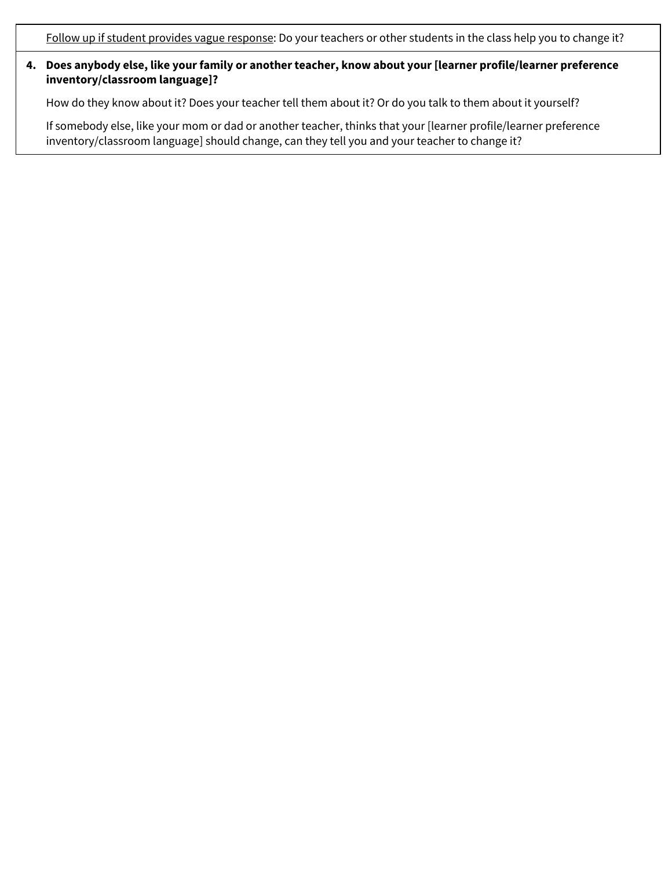Follow up if student provides vague response: Do your teachers or other students in the class help you to change it?

## **4. Does anybody else, like your family or another teacher, know about your [learner profile/learner preference inventory/classroom language]?**

How do they know about it? Does your teacher tell them about it? Or do you talk to them about it yourself?

If somebody else, like your mom or dad or another teacher, thinks that your [learner profile/learner preference inventory/classroom language] should change, can they tell you and your teacher to change it?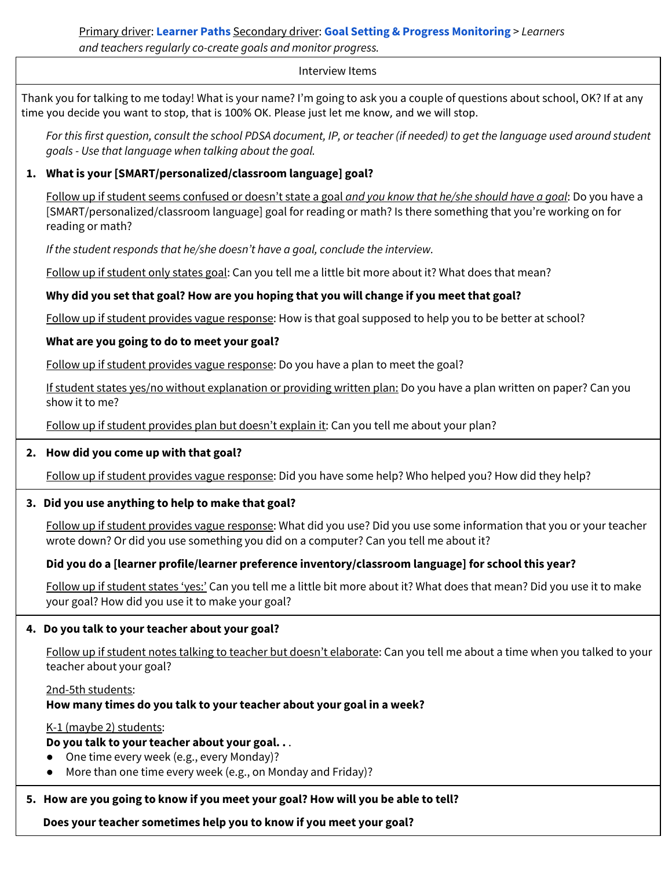# <span id="page-6-0"></span>Primary driver: **Learner Paths** Secondary driver: **Goal Setting & Progress Monitoring** > *Learners and teachers regularly co-create goals and monitor progress.*

#### Interview Items

Thank you for talking to me today! What is your name? I'm going to ask you a couple of questions about school, OK? If at any time you decide you want to stop, that is 100% OK. Please just let me know, and we will stop.

For this first question, consult the school PDSA document, IP, or teacher (if needed) to get the language used around student *goals - Use that language when talking about the goal.*

## **1. What is your [SMART/personalized/classroom language] goal?**

Follow up if student seems confused or doesn't state a goal *and you know that he/she should have a goal*: Do you have a [SMART/personalized/classroom language] goal for reading or math? Is there something that you're working on for reading or math?

*If the student responds that he/she doesn't have a goal, conclude the interview.*

Follow up if student only states goal: Can you tell me a little bit more about it? What does that mean?

## **Why did you set that goal? How are you hoping that you will change if you meet that goal?**

Follow up if student provides vague response: How is that goal supposed to help you to be better at school?

## **What are you going to do to meet your goal?**

Follow up if student provides vague response: Do you have a plan to meet the goal?

If student states yes/no without explanation or providing written plan: Do you have a plan written on paper? Can you show it to me?

Follow up if student provides plan but doesn't explain it: Can you tell me about your plan?

## **2. How did you come up with that goal?**

Follow up if student provides vague response: Did you have some help? Who helped you? How did they help?

## **3. Did you use anything to help to make that goal?**

Follow up if student provides vague response: What did you use? Did you use some information that you or your teacher wrote down? Or did you use something you did on a computer? Can you tell me about it?

## **Did you do a [learner profile/learner preference inventory/classroom language] for school this year?**

Follow up if student states 'yes:' Can you tell me a little bit more about it? What does that mean? Did you use it to make your goal? How did you use it to make your goal?

## **4. Do you talk to your teacher about your goal?**

Follow up if student notes talking to teacher but doesn't elaborate: Can you tell me about a time when you talked to your teacher about your goal?

#### 2nd-5th students: **How many times do you talk to your teacher about your goal in a week?**

## K-1 (maybe 2) students:

## **Do you talk to your teacher about your goal. .** .

- One time every week (e.g., every Monday)?
- More than one time every week (e.g., on Monday and Friday)?

# **5. How are you going to know if you meet your goal? How will you be able to tell?**

**Does your teacher sometimes help you to know if you meet your goal?**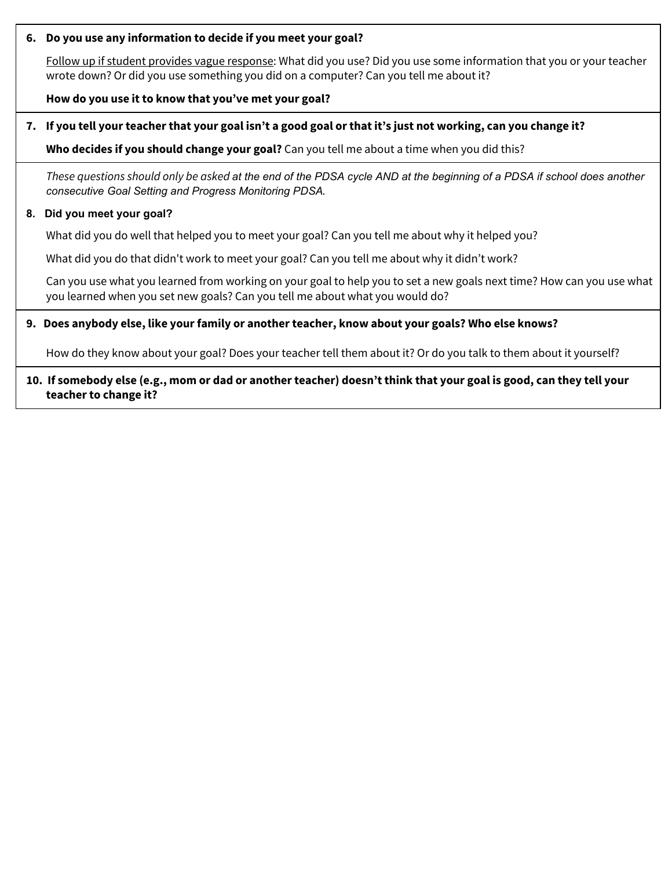### **6. Do you use any information to decide if you meet your goal?**

Follow up if student provides vague response: What did you use? Did you use some information that you or your teacher wrote down? Or did you use something you did on a computer? Can you tell me about it?

### **How do you use it to know that you've met your goal?**

## 7. If you tell your teacher that your goal isn't a good goal or that it's just not working, can you change it?

**Who decides if you should change your goal?** Can you tell me about a time when you did this?

These questions should only be asked at the end of the PDSA cycle AND at the beginning of a PDSA if school does another *consecutive Goal Setting and Progress Monitoring PDSA.*

#### **8. Did you meet your goal?**

What did you do well that helped you to meet your goal? Can you tell me about why it helped you?

What did you do that didn't work to meet your goal? Can you tell me about why it didn't work?

Can you use what you learned from working on your goal to help you to set a new goals next time? How can you use what you learned when you set new goals? Can you tell me about what you would do?

### **9. Does anybody else, like your family or another teacher, know about your goals? Who else knows?**

How do they know about your goal? Does your teacher tell them about it? Or do you talk to them about it yourself?

### 10. If somebody else (e.g., mom or dad or another teacher) doesn't think that your goal is good, can they tell your **teacher to change it?**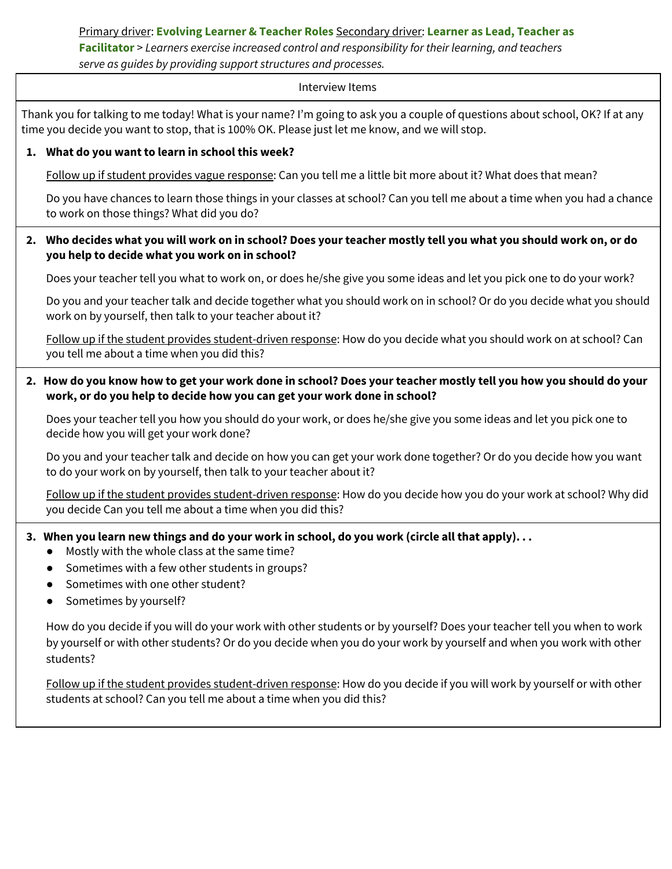# <span id="page-8-0"></span>Primary driver: **Evolving Learner & Teacher Roles** Secondary driver: **Learner as Lead, Teacher as Facilitator** > *Learners exercise increased control and responsibility for their learning, and teachers serve as guides by providing support structures and processes.*

#### Interview Items

Thank you for talking to me today! What is your name? I'm going to ask you a couple of questions about school, OK? If at any time you decide you want to stop, that is 100% OK. Please just let me know, and we will stop.

### **1. What do you want to learn in school this week?**

Follow up if student provides vague response: Can you tell me a little bit more about it? What does that mean?

Do you have chances to learn those things in your classes at school? Can you tell me about a time when you had a chance to work on those things? What did you do?

### 2. Who decides what you will work on in school? Does your teacher mostly tell you what you should work on, or do **you help to decide what you work on in school?**

Does your teacher tell you what to work on, or does he/she give you some ideas and let you pick one to do your work?

Do you and your teacher talk and decide together what you should work on in school? Or do you decide what you should work on by yourself, then talk to your teacher about it?

Follow up if the student provides student-driven response: How do you decide what you should work on at school? Can you tell me about a time when you did this?

## 2. How do you know how to get your work done in school? Does your teacher mostly tell you how you should do your **work, or do you help to decide how you can get your work done in school?**

Does your teacher tell you how you should do your work, or does he/she give you some ideas and let you pick one to decide how you will get your work done?

Do you and your teacher talk and decide on how you can get your work done together? Or do you decide how you want to do your work on by yourself, then talk to your teacher about it?

Follow up if the student provides student-driven response: How do you decide how you do your work at school? Why did you decide Can you tell me about a time when you did this?

## 3. When you learn new things and do your work in school, do you work (circle all that apply)...

- Mostly with the whole class at the same time?
- Sometimes with a few other students in groups?
- Sometimes with one other student?
- Sometimes by yourself?

How do you decide if you will do your work with other students or by yourself? Does your teacher tell you when to work by yourself or with other students? Or do you decide when you do your work by yourself and when you work with other students?

Follow up if the student provides student-driven response: How do you decide if you will work by yourself or with other students at school? Can you tell me about a time when you did this?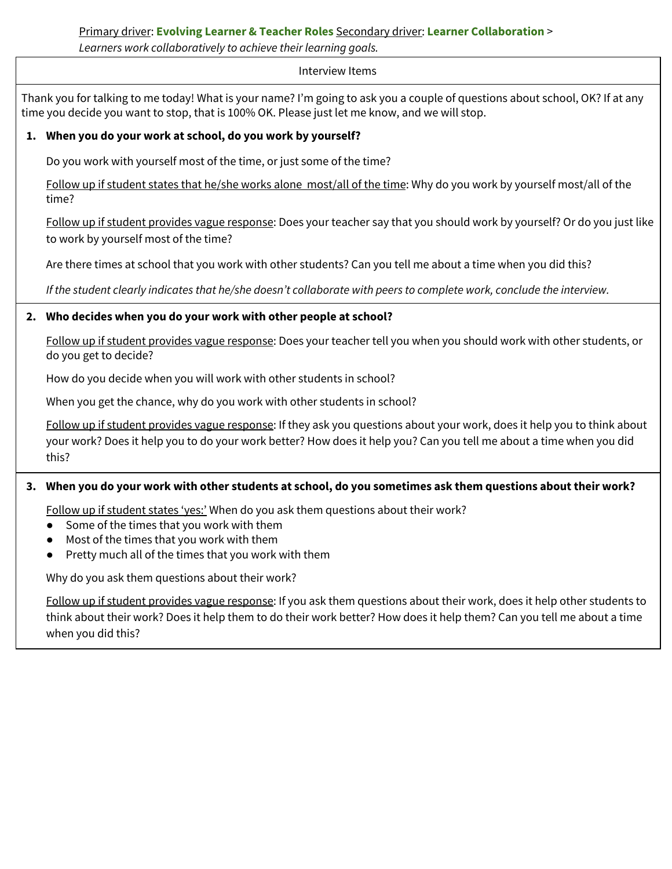# <span id="page-9-0"></span>Primary driver: **Evolving Learner & Teacher Roles** Secondary driver: **Learner Collaboration** >

*Learners work collaboratively to achieve their learning goals.*

### Interview Items

Thank you for talking to me today! What is your name? I'm going to ask you a couple of questions about school, OK? If at any time you decide you want to stop, that is 100% OK. Please just let me know, and we will stop.

## **1. When you do your work at school, do you work by yourself?**

Do you work with yourself most of the time, or just some of the time?

Follow up if student states that he/she works alone most/all of the time: Why do you work by yourself most/all of the time?

Follow up if student provides vague response: Does your teacher say that you should work by yourself? Or do you just like to work by yourself most of the time?

Are there times at school that you work with other students? Can you tell me about a time when you did this?

If the student clearly indicates that he/she doesn't collaborate with peers to complete work, conclude the interview.

## **2. Who decides when you do your work with other people at school?**

Follow up if student provides vague response: Does your teacher tell you when you should work with other students, or do you get to decide?

How do you decide when you will work with other students in school?

When you get the chance, why do you work with other students in school?

Follow up if student provides vague response: If they ask you questions about your work, does it help you to think about your work? Does it help you to do your work better? How does it help you? Can you tell me about a time when you did this?

## 3. When you do your work with other students at school, do you sometimes ask them questions about their work?

Follow up if student states 'yes:' When do you ask them questions about their work?

- Some of the times that you work with them
- Most of the times that you work with them
- Pretty much all of the times that you work with them

Why do you ask them questions about their work?

Follow up if student provides vague response: If you ask them questions about their work, does it help other students to think about their work? Does it help them to do their work better? How does it help them? Can you tell me about a time when you did this?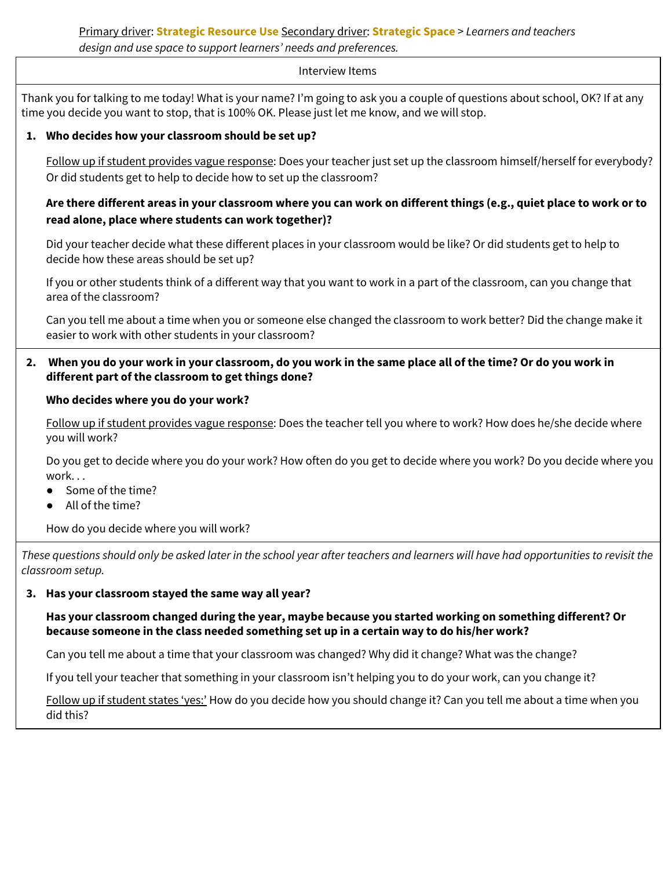## <span id="page-10-0"></span>Primary driver: **Strategic Resource Use** Secondary driver: **Strategic Space** > *Learners and teachers design and use space to support learners' needs and preferences.*

#### Interview Items

Thank you for talking to me today! What is your name? I'm going to ask you a couple of questions about school, OK? If at any time you decide you want to stop, that is 100% OK. Please just let me know, and we will stop.

## **1. Who decides how your classroom should be set up?**

Follow up if student provides vague response: Does your teacher just set up the classroom himself/herself for everybody? Or did students get to help to decide how to set up the classroom?

## Are there different areas in your classroom where you can work on different things (e.g., quiet place to work or to **read alone, place where students can work together)?**

Did your teacher decide what these different places in your classroom would be like? Or did students get to help to decide how these areas should be set up?

If you or other students think of a different way that you want to work in a part of the classroom, can you change that area of the classroom?

Can you tell me about a time when you or someone else changed the classroom to work better? Did the change make it easier to work with other students in your classroom?

## 2. When you do your work in your classroom, do you work in the same place all of the time? Or do you work in **different part of the classroom to get things done?**

## **Who decides where you do your work?**

Follow up if student provides vague response: Does the teacher tell you where to work? How does he/she decide where you will work?

Do you get to decide where you do your work? How often do you get to decide where you work? Do you decide where you work. . .

- Some of the time?
- All of the time?

How do you decide where you will work?

These questions should only be asked later in the school year after teachers and learners will have had opportunities to revisit the *classroom setup.*

## **3. Has your classroom stayed the same way all year?**

**Has your classroom changed during the year, maybe because you started working on something different? Or because someone in the class needed something set up in a certain way to do his/her work?**

Can you tell me about a time that your classroom was changed? Why did it change? What was the change?

If you tell your teacher that something in your classroom isn't helping you to do your work, can you change it?

Follow up if student states 'yes:' How do you decide how you should change it? Can you tell me about a time when you did this?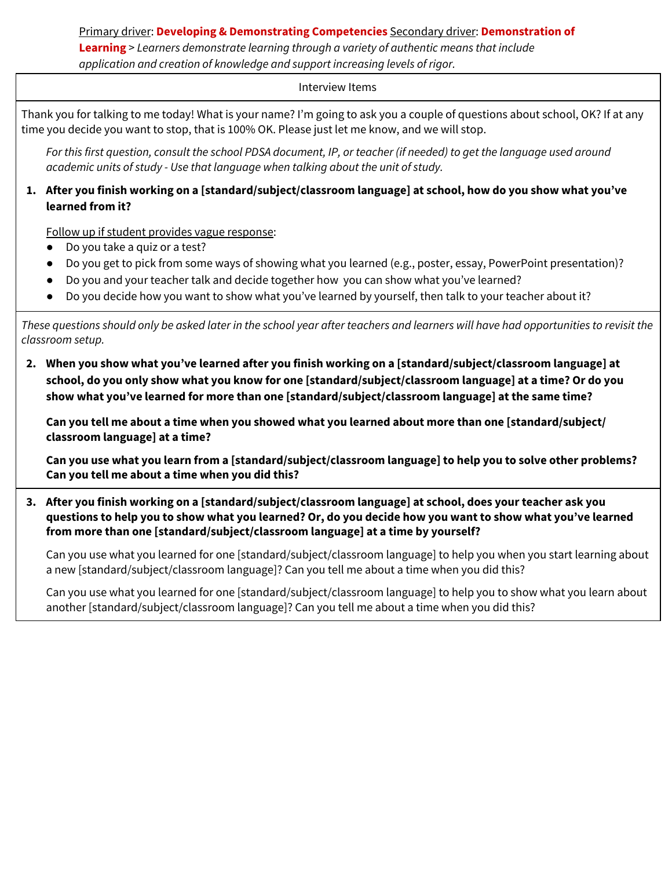<span id="page-11-0"></span>Primary driver: **Developing & Demonstrating Competencies** Secondary driver: **Demonstration of Learning** > *Learners demonstrate learning through a variety of authentic means that include application and creation of knowledge and support increasing levels of rigor.*

### Interview Items

Thank you for talking to me today! What is your name? I'm going to ask you a couple of questions about school, OK? If at any time you decide you want to stop, that is 100% OK. Please just let me know, and we will stop.

For this first question, consult the school PDSA document, IP, or teacher (if needed) to get the language used around *academic units of study - Use that language when talking about the unit of study.*

## 1. After you finish working on a [standard/subject/classroom language] at school, how do you show what you've **learned from it?**

Follow up if student provides vague response:

- Do you take a quiz or a test?
- Do you get to pick from some ways of showing what you learned (e.g., poster, essay, PowerPoint presentation)?
- Do you and your teacher talk and decide together how you can show what you've learned?
- Do you decide how you want to show what you've learned by yourself, then talk to your teacher about it?

These questions should only be asked later in the school year after teachers and learners will have had opportunities to revisit the *classroom setup.*

**2. When you show what you've learned after you finish working on a [standard/subject/classroom language] at** school, do you only show what you know for one [standard/subject/classroom language] at a time? Or do you **show what you've learned for more than one [standard/subject/classroom language] at the same time?**

Can you tell me about a time when you showed what you learned about more than one [standard/subject/ **classroom language] at a time?**

Can you use what you learn from a [standard/subject/classroom language] to help you to solve other problems? **Can you tell me about a time when you did this?**

**3. After you finish working on a [standard/subject/classroom language] at school, does your teacher ask you** questions to help you to show what you learned? Or, do you decide how you want to show what you've learned **from more than one [standard/subject/classroom language] at a time by yourself?**

Can you use what you learned for one [standard/subject/classroom language] to help you when you start learning about a new [standard/subject/classroom language]? Can you tell me about a time when you did this?

Can you use what you learned for one [standard/subject/classroom language] to help you to show what you learn about another [standard/subject/classroom language]? Can you tell me about a time when you did this?